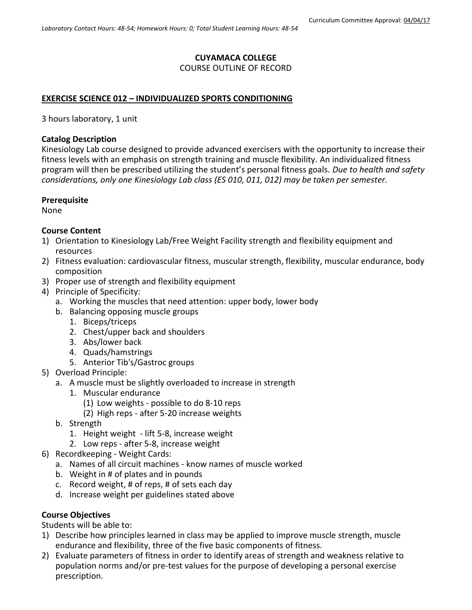## **CUYAMACA COLLEGE**

### COURSE OUTLINE OF RECORD

### **EXERCISE SCIENCE 012 – INDIVIDUALIZED SPORTS CONDITIONING**

3 hours laboratory, 1 unit

#### **Catalog Description**

Kinesiology Lab course designed to provide advanced exercisers with the opportunity to increase their fitness levels with an emphasis on strength training and muscle flexibility. An individualized fitness program will then be prescribed utilizing the student's personal fitness goals. *Due to health and safety considerations, only one Kinesiology Lab class (ES 010, 011, 012) may be taken per semester.*

#### **Prerequisite**

None

### **Course Content**

- 1) Orientation to Kinesiology Lab/Free Weight Facility strength and flexibility equipment and resources
- 2) Fitness evaluation: cardiovascular fitness, muscular strength, flexibility, muscular endurance, body composition
- 3) Proper use of strength and flexibility equipment
- 4) Principle of Specificity:
	- a. Working the muscles that need attention: upper body, lower body
	- b. Balancing opposing muscle groups
		- 1. Biceps/triceps
		- 2. Chest/upper back and shoulders
		- 3. Abs/lower back
		- 4. Quads/hamstrings
		- 5. Anterior Tib's/Gastroc groups
- 5) Overload Principle:
	- a. A muscle must be slightly overloaded to increase in strength
		- 1. Muscular endurance
			- (1) Low weights possible to do 8-10 reps
			- (2) High reps after 5-20 increase weights
	- b. Strength
		- 1. Height weight lift 5-8, increase weight
		- 2. Low reps after 5-8, increase weight
- 6) Recordkeeping Weight Cards:
	- a. Names of all circuit machines know names of muscle worked
	- b. Weight in # of plates and in pounds
	- c. Record weight, # of reps, # of sets each day
	- d. Increase weight per guidelines stated above

### **Course Objectives**

Students will be able to:

- 1) Describe how principles learned in class may be applied to improve muscle strength, muscle endurance and flexibility, three of the five basic components of fitness.
- 2) Evaluate parameters of fitness in order to identify areas of strength and weakness relative to population norms and/or pre-test values for the purpose of developing a personal exercise prescription.